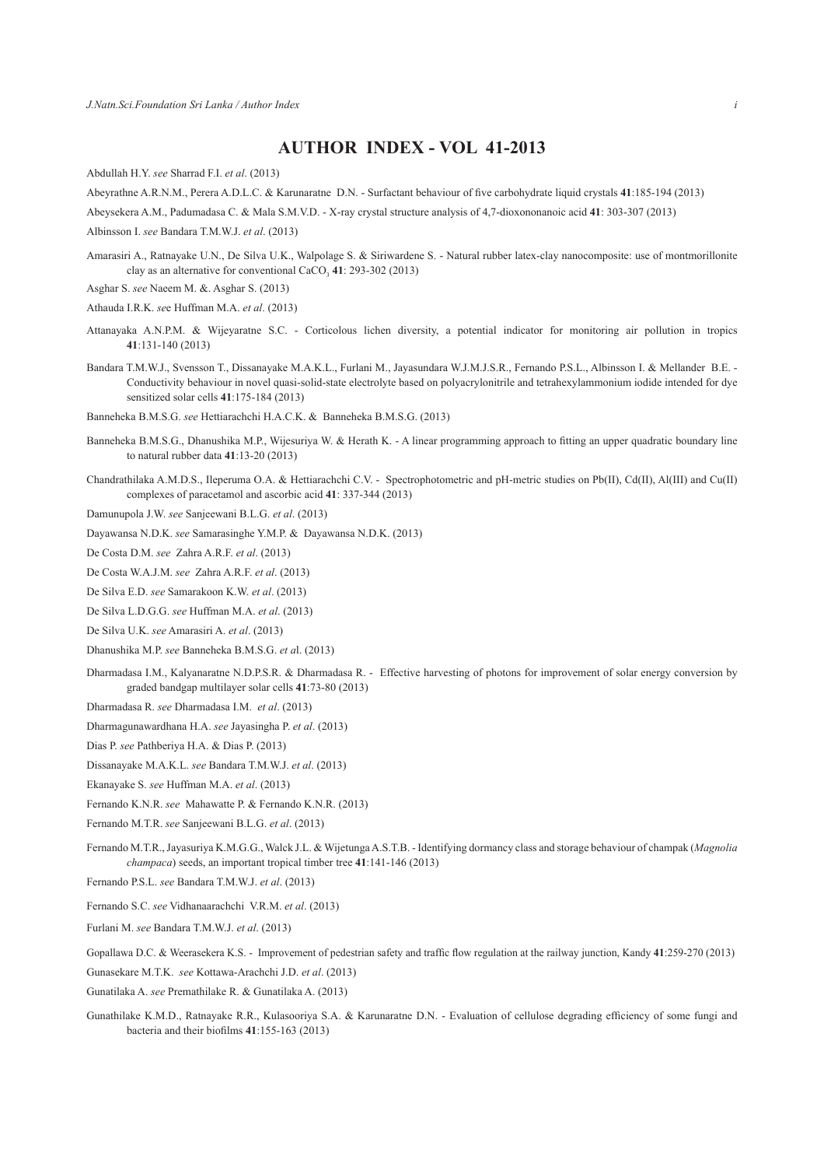## **AUTHOR INDEX - VOL 41-2013**

Abdullah H.Y. *see* Sharrad F.I. *et al*. (2013)

Abeyrathne A.R.N.M., Perera A.D.L.C. & Karunaratne D.N. - Surfactant behaviour of five carbohydrate liquid crystals **41**:185-194 (2013)

Abeysekera A.M., Padumadasa C. & Mala S.M.V.D. - X-ray crystal structure analysis of 4,7-dioxononanoic acid **41**: 303-307 (2013)

Albinsson I. *see* Bandara T.M.W.J. *et al*. (2013)

- Amarasiri A., Ratnayake U.N., De Silva U.K., Walpolage S. & Siriwardene S. Natural rubber latex-clay nanocomposite: use of montmorillonite clay as an alternative for conventional CaCO<sub>3</sub> 41: 293-302 (2013)
- Asghar S. *see* Naeem M. &. Asghar S. (2013)

Athauda I.R.K. *se*e Huffman M.A. *et al*. (2013)

- Attanayaka A.N.P.M. & Wijeyaratne S.C. Corticolous lichen diversity, a potential indicator for monitoring air pollution in tropics **41**:131-140 (2013)
- Bandara T.M.W.J., Svensson T., Dissanayake M.A.K.L., Furlani M., Jayasundara W.J.M.J.S.R., Fernando P.S.L., Albinsson I. & Mellander B.E. Conductivity behaviour in novel quasi-solid-state electrolyte based on polyacrylonitrile and tetrahexylammonium iodide intended for dye sensitized solar cells **41**:175-184 (2013)
- Banneheka B.M.S.G. *see* Hettiarachchi H.A.C.K. & Banneheka B.M.S.G. (2013)
- Banneheka B.M.S.G., Dhanushika M.P., Wijesuriya W. & Herath K. A linear programming approach to fitting an upper quadratic boundary line to natural rubber data **41**:13-20 (2013)
- Chandrathilaka A.M.D.S., Ileperuma O.A. & Hettiarachchi C.V. Spectrophotometric and pH-metric studies on Pb(II), Cd(II), Al(III) and Cu(II) complexes of paracetamol and ascorbic acid **41**: 337-344 (2013)
- Damunupola J.W. *see* Sanjeewani B.L.G. *et al*. (2013)
- Dayawansa N.D.K. *see* Samarasinghe Y.M.P. & Dayawansa N.D.K. (2013)
- De Costa D.M. *see* Zahra A.R.F. *et al*. (2013)
- De Costa W.A.J.M. *see* Zahra A.R.F. *et al*. (2013)
- De Silva E.D. *see* Samarakoon K.W. *et al*. (2013)
- De Silva L.D.G.G. *see* Huffman M.A. *et al*. (2013)
- De Silva U.K. *see* Amarasiri A. *et al*. (2013)
- Dhanushika M.P. *see* Banneheka B.M.S.G. *et a*l. (2013)
- Dharmadasa I.M., Kalyanaratne N.D.P.S.R. & Dharmadasa R. Effective harvesting of photons for improvement of solar energy conversion by graded bandgap multilayer solar cells **41**:73-80 (2013)
- Dharmadasa R. *see* Dharmadasa I.M. *et al*. (2013)
- Dharmagunawardhana H.A. *see* Jayasingha P. *et al*. (2013)
- Dias P. *see* Pathberiya H.A. & Dias P. (2013)
- Dissanayake M.A.K.L. *see* Bandara T.M.W.J. *et al*. (2013)
- Ekanayake S. *see* Huffman M.A. *et al*. (2013)
- Fernando K.N.R. *see* Mahawatte P. & Fernando K.N.R. (2013)
- Fernando M.T.R. *see* Sanjeewani B.L.G. *et al*. (2013)
- Fernando M.T.R., Jayasuriya K.M.G.G., Walck J.L. & Wijetunga A.S.T.B. Identifying dormancy class and storage behaviour of champak (*Magnolia champaca*) seeds, an important tropical timber tree **41**:141-146 (2013)

Fernando P.S.L. *see* Bandara T.M.W.J. *et al*. (2013)

- Fernando S.C. *see* Vidhanaarachchi V.R.M. *et al*. (2013)
- Furlani M. *see* Bandara T.M.W.J. *et al*. (2013)
- Gopallawa D.C. & Weerasekera K.S. Improvement of pedestrian safety and traffic flow regulation at the railway junction, Kandy **41**:259-270 (2013)
- Gunasekare M.T.K. *see* Kottawa-Arachchi J.D. *et al*. (2013)
- Gunatilaka A. *see* Premathilake R. & Gunatilaka A. (2013)
- Gunathilake K.M.D., Ratnayake R.R., Kulasooriya S.A. & Karunaratne D.N. Evaluation of cellulose degrading efficiency of some fungi and bacteria and their biofilms **41**:155-163 (2013)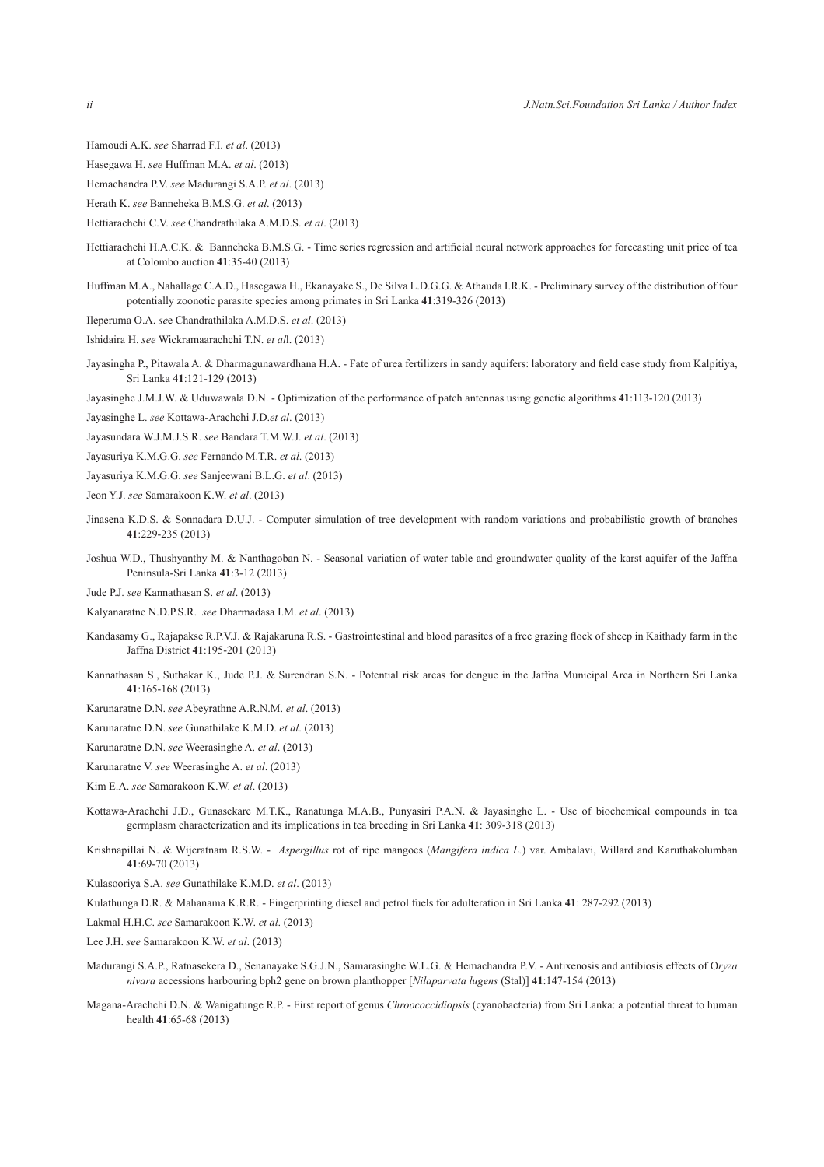- Hamoudi A.K. *see* Sharrad F.I. *et al*. (2013)
- Hasegawa H. *see* Huffman M.A. *et al*. (2013)
- Hemachandra P.V. *see* Madurangi S.A.P. *et al*. (2013)
- Herath K. *see* Banneheka B.M.S.G. *et al*. (2013)
- Hettiarachchi C.V. *see* Chandrathilaka A.M.D.S. *et al*. (2013)
- Hettiarachchi H.A.C.K. & Banneheka B.M.S.G. Time series regression and artificial neural network approaches for forecasting unit price of tea at Colombo auction **41**:35-40 (2013)
- Huffman M.A., Nahallage C.A.D., Hasegawa H., Ekanayake S., De Silva L.D.G.G. & Athauda I.R.K. Preliminary survey of the distribution of four potentially zoonotic parasite species among primates in Sri Lanka **41**:319-326 (2013)
- Ileperuma O.A. *se*e Chandrathilaka A.M.D.S. *et al*. (2013)
- Ishidaira H. *see* Wickramaarachchi T.N. *et al*l. (2013)
- Jayasingha P., Pitawala A. & Dharmagunawardhana H.A. Fate of urea fertilizers in sandy aquifers: laboratory and field case study from Kalpitiya, Sri Lanka **41**:121-129 (2013)
- Jayasinghe J.M.J.W. & Uduwawala D.N. Optimization of the performance of patch antennas using genetic algorithms **41**:113-120 (2013)

Jayasinghe L. *see* Kottawa-Arachchi J.D.*et al*. (2013)

- Jayasundara W.J.M.J.S.R. *see* Bandara T.M.W.J. *et al*. (2013)
- Jayasuriya K.M.G.G. *see* Fernando M.T.R. *et al*. (2013)
- Jayasuriya K.M.G.G. *see* Sanjeewani B.L.G. *et al*. (2013)
- Jeon Y.J. *see* Samarakoon K.W. *et al*. (2013)
- Jinasena K.D.S. & Sonnadara D.U.J. Computer simulation of tree development with random variations and probabilistic growth of branches **41**:229-235 (2013)
- Joshua W.D., Thushyanthy M. & Nanthagoban N. Seasonal variation of water table and groundwater quality of the karst aquifer of the Jaffna Peninsula-Sri Lanka **41**:3-12 (2013)
- Jude P.J. *see* Kannathasan S. *et al*. (2013)
- Kalyanaratne N.D.P.S.R. *see* Dharmadasa I.M. *et al*. (2013)
- Kandasamy G., Rajapakse R.P.V.J. & Rajakaruna R.S. Gastrointestinal and blood parasites of a free grazing flock of sheep in Kaithady farm in the Jaffna District **41**:195-201 (2013)
- Kannathasan S., Suthakar K., Jude P.J. & Surendran S.N. Potential risk areas for dengue in the Jaffna Municipal Area in Northern Sri Lanka **41**:165-168 (2013)
- Karunaratne D.N. *see* Abeyrathne A.R.N.M. *et al*. (2013)
- Karunaratne D.N. *see* Gunathilake K.M.D. *et al*. (2013)
- Karunaratne D.N. *see* Weerasinghe A. *et al*. (2013)
- Karunaratne V. *see* Weerasinghe A. *et al*. (2013)
- Kim E.A. *see* Samarakoon K.W. *et al*. (2013)
- Kottawa-Arachchi J.D., Gunasekare M.T.K., Ranatunga M.A.B., Punyasiri P.A.N. & Jayasinghe L. Use of biochemical compounds in tea germplasm characterization and its implications in tea breeding in Sri Lanka **41**: 309-318 (2013)
- Krishnapillai N. & Wijeratnam R.S.W. *Aspergillus* rot of ripe mangoes (*Mangifera indica L.*) var. Ambalavi, Willard and Karuthakolumban **41**:69-70 (2013)
- Kulasooriya S.A. *see* Gunathilake K.M.D. *et al*. (2013)
- Kulathunga D.R. & Mahanama K.R.R. Fingerprinting diesel and petrol fuels for adulteration in Sri Lanka **41**: 287-292 (2013)
- Lakmal H.H.C. *see* Samarakoon K.W. *et al*. (2013)
- Lee J.H. *see* Samarakoon K.W. *et al*. (2013)
- Madurangi S.A.P., Ratnasekera D., Senanayake S.G.J.N., Samarasinghe W.L.G. & Hemachandra P.V. Antixenosis and antibiosis effects of O*ryza nivara* accessions harbouring bph2 gene on brown planthopper [*Nilaparvata lugens* (Stal)] **41**:147-154 (2013)
- Magana-Arachchi D.N. & Wanigatunge R.P. First report of genus *Chroococcidiopsis* (cyanobacteria) from Sri Lanka: a potential threat to human health **41**:65-68 (2013)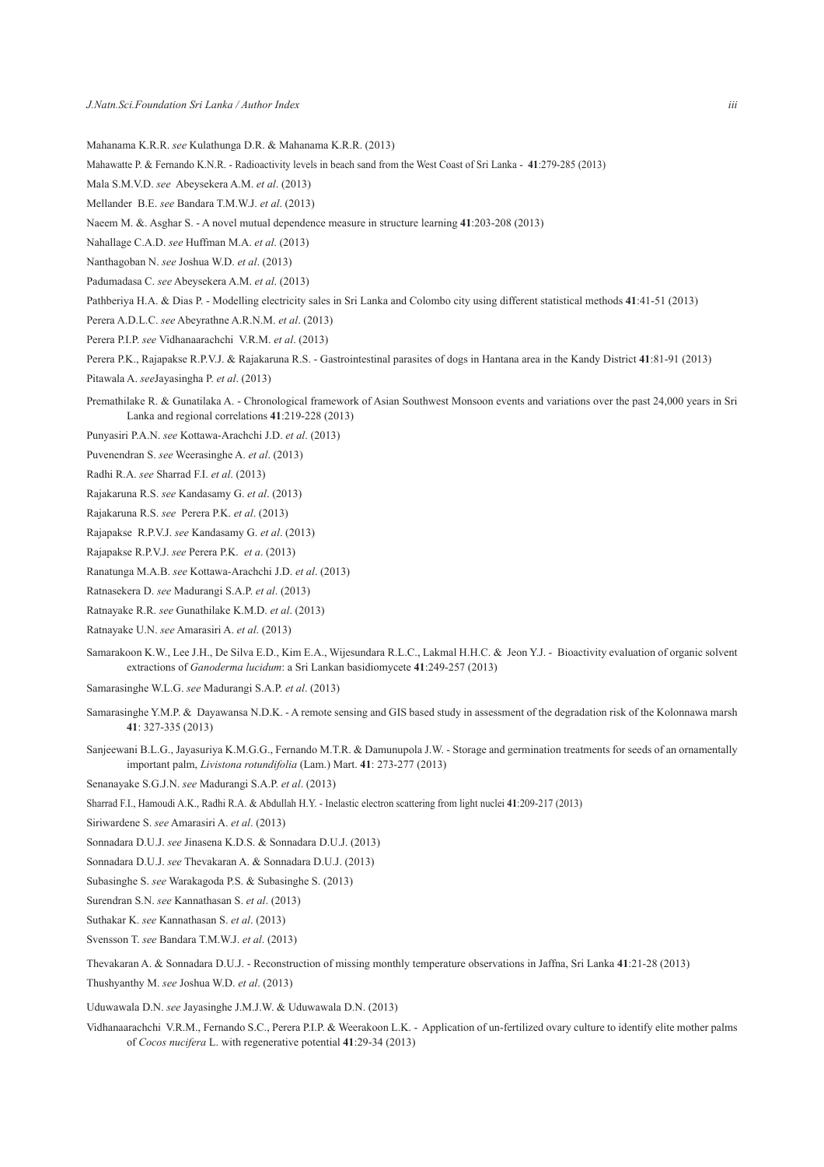- Mahanama K.R.R. *see* Kulathunga D.R. & Mahanama K.R.R. (2013)
- Mahawatte P. & Fernando K.N.R. Radioactivity levels in beach sand from the West Coast of Sri Lanka **41**:279-285 (2013)
- Mala S.M.V.D. *see* Abeysekera A.M. *et al*. (2013)
- Mellander B.E. *see* Bandara T.M.W.J. *et al*. (2013)
- Naeem M. &. Asghar S. A novel mutual dependence measure in structure learning **41**:203-208 (2013)
- Nahallage C.A.D. *see* Huffman M.A. *et al*. (2013)
- Nanthagoban N. *see* Joshua W.D. *et al*. (2013)
- Padumadasa C. *see* Abeysekera A.M. *et al*. (2013)
- Pathberiya H.A. & Dias P. Modelling electricity sales in Sri Lanka and Colombo city using different statistical methods **41**:41-51 (2013)
- Perera A.D.L.C. *see* Abeyrathne A.R.N.M. *et al*. (2013)
- Perera P.I.P. *see* Vidhanaarachchi V.R.M. *et al*. (2013)
- Perera P.K., Rajapakse R.P.V.J. & Rajakaruna R.S. Gastrointestinal parasites of dogs in Hantana area in the Kandy District **41**:81-91 (2013)
- Pitawala A. *see*Jayasingha P. *et al*. (2013)
- Premathilake R. & Gunatilaka A. Chronological framework of Asian Southwest Monsoon events and variations over the past 24,000 years in Sri Lanka and regional correlations **41**:219-228 (2013)
- Punyasiri P.A.N. *see* Kottawa-Arachchi J.D. *et al*. (2013)
- Puvenendran S. *see* Weerasinghe A. *et al*. (2013)
- Radhi R.A. *see* Sharrad F.I. *et al*. (2013)
- Rajakaruna R.S. *see* Kandasamy G. *et al*. (2013)
- Rajakaruna R.S. *see* Perera P.K. *et al*. (2013)
- Rajapakse R.P.V.J. *see* Kandasamy G. *et al*. (2013)
- Rajapakse R.P.V.J. *see* Perera P.K. *et a*. (2013)
- Ranatunga M.A.B. *see* Kottawa-Arachchi J.D. *et al*. (2013)
- Ratnasekera D. *see* Madurangi S.A.P. *et al*. (2013)
- Ratnayake R.R. *see* Gunathilake K.M.D. *et al*. (2013)
- Ratnayake U.N. *see* Amarasiri A. *et al*. (2013)
- Samarakoon K.W., Lee J.H., De Silva E.D., Kim E.A., Wijesundara R.L.C., Lakmal H.H.C. & Jeon Y.J. Bioactivity evaluation of organic solvent extractions of *Ganoderma lucidum*: a Sri Lankan basidiomycete **41**:249-257 (2013)
- Samarasinghe W.L.G. *see* Madurangi S.A.P. *et al*. (2013)
- Samarasinghe Y.M.P. & Dayawansa N.D.K. A remote sensing and GIS based study in assessment of the degradation risk of the Kolonnawa marsh **41**: 327-335 (2013)
- Sanjeewani B.L.G., Jayasuriya K.M.G.G., Fernando M.T.R. & Damunupola J.W. Storage and germination treatments for seeds of an ornamentally important palm, *Livistona rotundifolia* (Lam.) Mart. **41**: 273-277 (2013)
- Senanayake S.G.J.N. *see* Madurangi S.A.P. *et al*. (2013)
- Sharrad F.I., Hamoudi A.K., Radhi R.A. & Abdullah H.Y. Inelastic electron scattering from light nuclei **41**:209-217 (2013)
- Siriwardene S. *see* Amarasiri A. *et al*. (2013)
- Sonnadara D.U.J. *see* Jinasena K.D.S. & Sonnadara D.U.J. (2013)
- Sonnadara D.U.J. *see* Thevakaran A. & Sonnadara D.U.J. (2013)
- Subasinghe S. *see* Warakagoda P.S. & Subasinghe S. (2013)
- Surendran S.N. *see* Kannathasan S. *et al*. (2013)
- Suthakar K. *see* Kannathasan S. *et al*. (2013)
- Svensson T. *see* Bandara T.M.W.J. *et al*. (2013)
- Thevakaran A. & Sonnadara D.U.J. Reconstruction of missing monthly temperature observations in Jaffna, Sri Lanka **41**:21-28 (2013)
- Thushyanthy M. *see* Joshua W.D. *et al*. (2013)
- Uduwawala D.N. *see* Jayasinghe J.M.J.W. & Uduwawala D.N. (2013)
- Vidhanaarachchi V.R.M., Fernando S.C., Perera P.I.P. & Weerakoon L.K. Application of un-fertilized ovary culture to identify elite mother palms of *Cocos nucifera* L. with regenerative potential **41**:29-34 (2013)